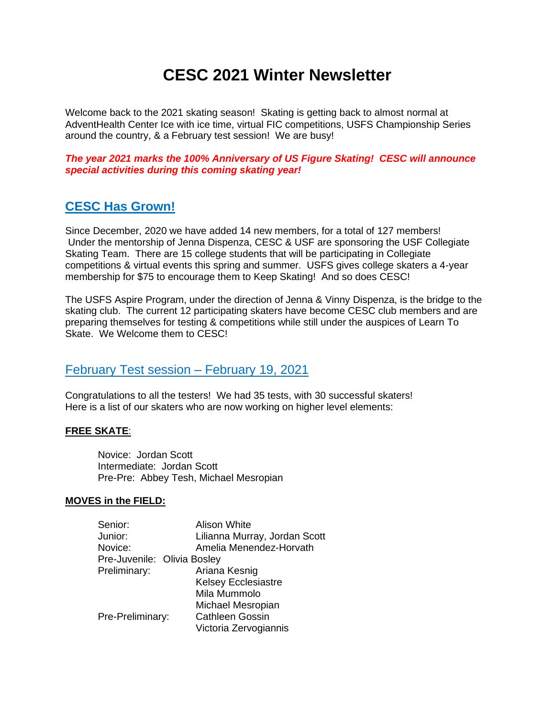# **CESC 2021 Winter Newsletter**

Welcome back to the 2021 skating season! Skating is getting back to almost normal at AdventHealth Center Ice with ice time, virtual FIC competitions, USFS Championship Series around the country, & a February test session! We are busy!

*The year 2021 marks the 100% Anniversary of US Figure Skating! CESC will announce special activities during this coming skating year!*

### **CESC Has Grown!**

Since December, 2020 we have added 14 new members, for a total of 127 members! Under the mentorship of Jenna Dispenza, CESC & USF are sponsoring the USF Collegiate Skating Team. There are 15 college students that will be participating in Collegiate competitions & virtual events this spring and summer. USFS gives college skaters a 4-year membership for \$75 to encourage them to Keep Skating! And so does CESC!

The USFS Aspire Program, under the direction of Jenna & Vinny Dispenza, is the bridge to the skating club. The current 12 participating skaters have become CESC club members and are preparing themselves for testing & competitions while still under the auspices of Learn To Skate. We Welcome them to CESC!

#### February Test session – February 19, 2021

Congratulations to all the testers! We had 35 tests, with 30 successful skaters! Here is a list of our skaters who are now working on higher level elements:

#### **FREE SKATE**:

Novice: Jordan Scott Intermediate: Jordan Scott Pre-Pre: Abbey Tesh, Michael Mesropian

#### **MOVES in the FIELD:**

| Senior:                     | <b>Alison White</b>           |
|-----------------------------|-------------------------------|
| Junior:                     | Lilianna Murray, Jordan Scott |
| Novice:                     | Amelia Menendez-Horvath       |
| Pre-Juvenile: Olivia Bosley |                               |
| Preliminary:                | Ariana Kesnig                 |
|                             | <b>Kelsey Ecclesiastre</b>    |
|                             | Mila Mummolo                  |
|                             | Michael Mesropian             |
| Pre-Preliminary:            | <b>Cathleen Gossin</b>        |
|                             | Victoria Zervogiannis         |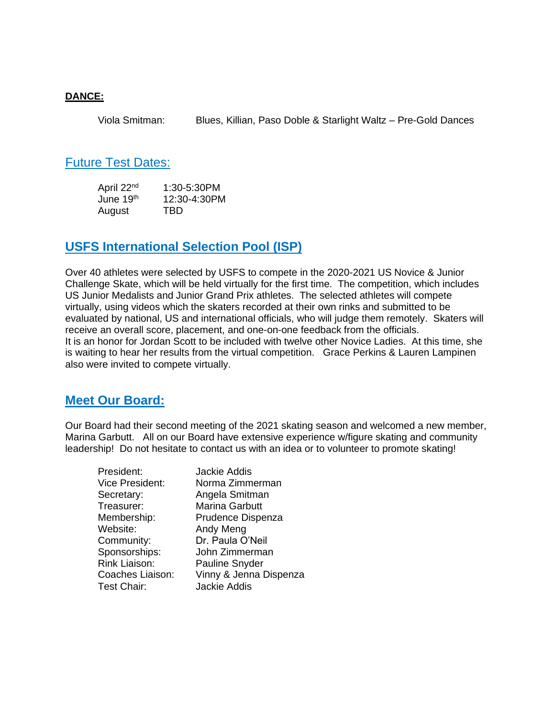#### **DANCE:**

Viola Smitman: Blues, Killian, Paso Doble & Starlight Waltz – Pre-Gold Dances

#### Future Test Dates:

April 22<sup>nd</sup> 1:30-5:30PM<br>June 19<sup>th</sup> 12:30-4:30PM  $12:30-4:30$ PM August TBD

### **USFS International Selection Pool (ISP)**

Over 40 athletes were selected by USFS to compete in the 2020-2021 US Novice & Junior Challenge Skate, which will be held virtually for the first time. The competition, which includes US Junior Medalists and Junior Grand Prix athletes. The selected athletes will compete virtually, using videos which the skaters recorded at their own rinks and submitted to be evaluated by national, US and international officials, who will judge them remotely. Skaters will receive an overall score, placement, and one-on-one feedback from the officials. It is an honor for Jordan Scott to be included with twelve other Novice Ladies. At this time, she is waiting to hear her results from the virtual competition. Grace Perkins & Lauren Lampinen also were invited to compete virtually.

### **Meet Our Board:**

Our Board had their second meeting of the 2021 skating season and welcomed a new member, Marina Garbutt. All on our Board have extensive experience w/figure skating and community leadership! Do not hesitate to contact us with an idea or to volunteer to promote skating!

| President:             | <b>Jackie Addis</b>    |
|------------------------|------------------------|
| <b>Vice President:</b> | Norma Zimmerman        |
| Secretary:             | Angela Smitman         |
| Treasurer:             | <b>Marina Garbutt</b>  |
| Membership:            | Prudence Dispenza      |
| Website:               | Andy Meng              |
| Community:             | Dr. Paula O'Neil       |
| Sponsorships:          | John Zimmerman         |
| Rink Liaison:          | Pauline Snyder         |
| Coaches Liaison:       | Vinny & Jenna Dispenza |
| <b>Test Chair:</b>     | <b>Jackie Addis</b>    |
|                        |                        |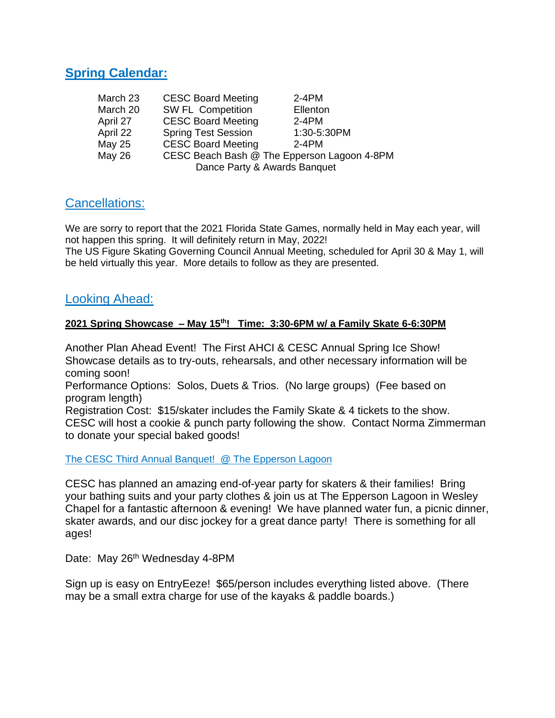### **Spring Calendar:**

| March 23      | <b>CESC Board Meeting</b>                   | $2-4PM$     |  |
|---------------|---------------------------------------------|-------------|--|
| March 20      | <b>SW FL Competition</b>                    | Ellenton    |  |
| April 27      | <b>CESC Board Meeting</b>                   | $2-4PM$     |  |
| April 22      | <b>Spring Test Session</b>                  | 1:30-5:30PM |  |
| May 25        | <b>CESC Board Meeting</b>                   | $2-4PM$     |  |
| <b>May 26</b> | CESC Beach Bash @ The Epperson Lagoon 4-8PM |             |  |
|               | Dance Party & Awards Banquet                |             |  |

### Cancellations:

We are sorry to report that the 2021 Florida State Games, normally held in May each year, will not happen this spring. It will definitely return in May, 2022!

The US Figure Skating Governing Council Annual Meeting, scheduled for April 30 & May 1, will be held virtually this year. More details to follow as they are presented.

#### Looking Ahead:

#### **2021 Spring Showcase – May 15 th! Time: 3:30-6PM w/ a Family Skate 6-6:30PM**

Another Plan Ahead Event! The First AHCI & CESC Annual Spring Ice Show! Showcase details as to try-outs, rehearsals, and other necessary information will be coming soon!

Performance Options: Solos, Duets & Trios. (No large groups) (Fee based on program length)

Registration Cost: \$15/skater includes the Family Skate & 4 tickets to the show. CESC will host a cookie & punch party following the show. Contact Norma Zimmerman to donate your special baked goods!

The CESC Third Annual Banquet! @ The Epperson Lagoon

CESC has planned an amazing end-of-year party for skaters & their families! Bring your bathing suits and your party clothes & join us at The Epperson Lagoon in Wesley Chapel for a fantastic afternoon & evening! We have planned water fun, a picnic dinner, skater awards, and our disc jockey for a great dance party! There is something for all ages!

Date: May 26<sup>th</sup> Wednesday 4-8PM

Sign up is easy on EntryEeze! \$65/person includes everything listed above. (There may be a small extra charge for use of the kayaks & paddle boards.)